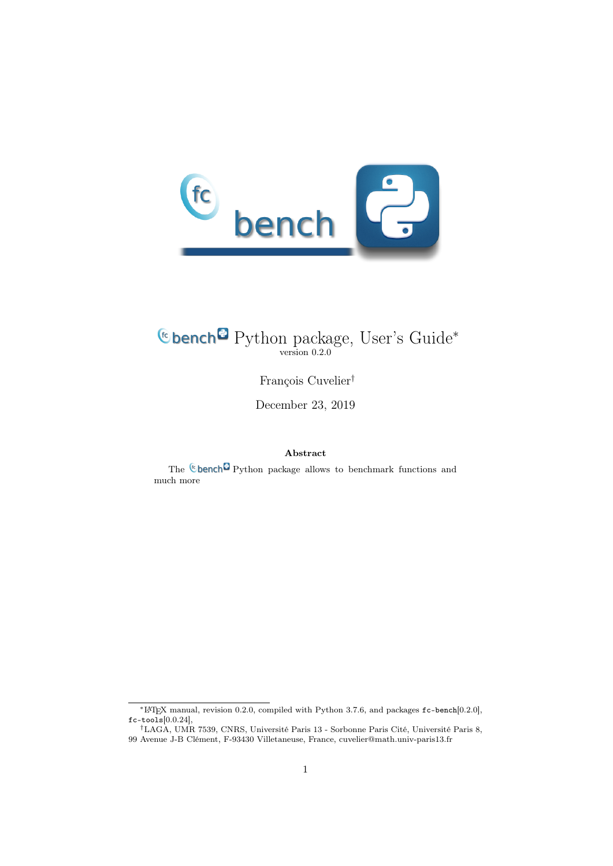

## Python package, User's Guide<sup>∗</sup> version 0.2.0

François Cuvelier†

December 23, 2019

## Abstract

The **C**bench<sup>c</sup> Python package allows to benchmark functions and much more

<sup>∗</sup>LATEX manual, revision 0.2.0, compiled with Python 3.7.6, and packages fc-bench[0.2.0],  $fc$ -tools $[0.0.24]$ ,

<sup>†</sup>LAGA, UMR 7539, CNRS, Université Paris 13 - Sorbonne Paris Cité, Université Paris 8, 99 Avenue J-B Clément, F-93430 Villetaneuse, France, cuvelier@math.univ-paris13.fr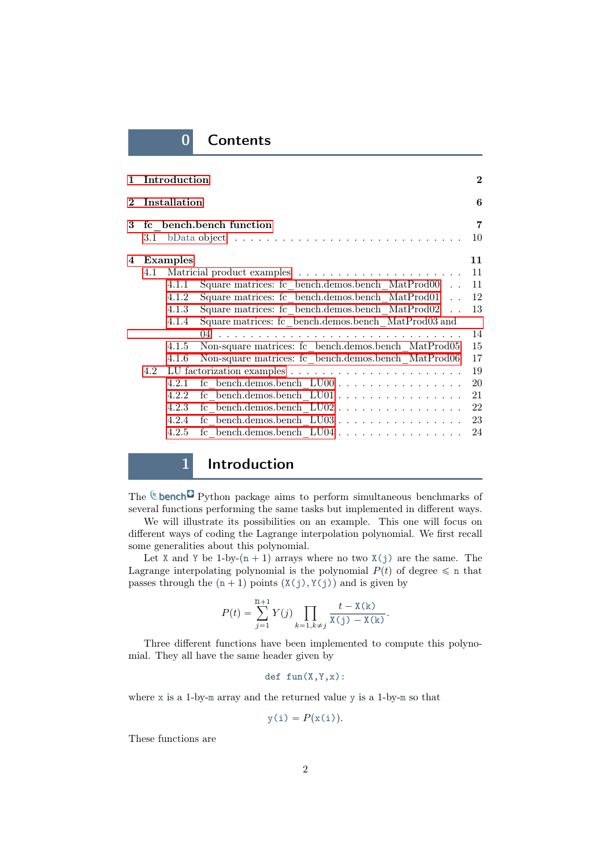## 0 Contents

|            |     | 1 Introduction |                                                                                                                     | $\overline{2}$       |
|------------|-----|----------------|---------------------------------------------------------------------------------------------------------------------|----------------------|
| $\bf{2}^-$ |     | Installation   |                                                                                                                     | 6                    |
| 3          |     |                | fc bench.bench function<br>3.1 bData object $\ldots \ldots \ldots \ldots \ldots \ldots \ldots \ldots \ldots \ldots$ | $\overline{7}$<br>10 |
| 4          |     | Examples       |                                                                                                                     | 11                   |
|            | 4.1 |                |                                                                                                                     | 11                   |
|            |     | 4.1.1          | Square matrices: fc bench.demos.bench $MatProd00$                                                                   | 11                   |
|            |     | 4.1.2          | Square matrices: fc bench.demos.bench MatProd01                                                                     | 12                   |
|            |     | 4.1.3          | Square matrices: fc bench.demos.bench MatProd02                                                                     | 13                   |
|            |     | 4.1.4          | Square matrices: fc bench.demos.bench MatProd03 and                                                                 |                      |
|            |     |                |                                                                                                                     | 14                   |
|            |     | 4.1.5          | Non-square matrices: fc bench.demos.bench MatProd05                                                                 | 15                   |
|            |     | 4.1.6          | Non-square matrices: fc bench.demos.bench MatProd06                                                                 | 17                   |
|            | 4.2 |                |                                                                                                                     | 19                   |
|            |     | 4.2.1          | fc bench.demos.bench $LU00$                                                                                         | 20                   |
|            |     | 4.2.2          | fc bench.demos.bench $LU01$                                                                                         | 21                   |
|            |     | 4.2.3          |                                                                                                                     | 22                   |
|            |     | 4.2.4          |                                                                                                                     | 23                   |
|            |     | 4.2.5          |                                                                                                                     | 24                   |
|            |     |                |                                                                                                                     |                      |

## 1 Introduction

<span id="page-1-0"></span>The  $\mathbb{C}$  bench $\mathbb{C}$  Python package aims to perform simultaneous benchmarks of several functions performing the same tasks but implemented in different ways.

We will illustrate its possibilities on an example. This one will focus on different ways of coding the Lagrange interpolation polynomial. We first recall some generalities about this polynomial.

Let X and Y be 1-by- $(n + 1)$  arrays where no two  $X(j)$  are the same. The Lagrange interpolating polynomial is the polynomial  $P(t)$  of degree  $\leq$  n that passes through the  $(n + 1)$  points  $(X(j), Y(j))$  and is given by

$$
P(t) = \sum_{j=1}^{n+1} Y(j) \prod_{k=1, k \neq j} \frac{t - X(k)}{X(j) - X(k)}.
$$

Three different functions have been implemented to compute this polynomial. They all have the same header given by

def fun(X,Y,x):

where x is a 1-by-m array and the returned value y is a 1-by-m so that

$$
y(i) = P(x(i)).
$$

These functions are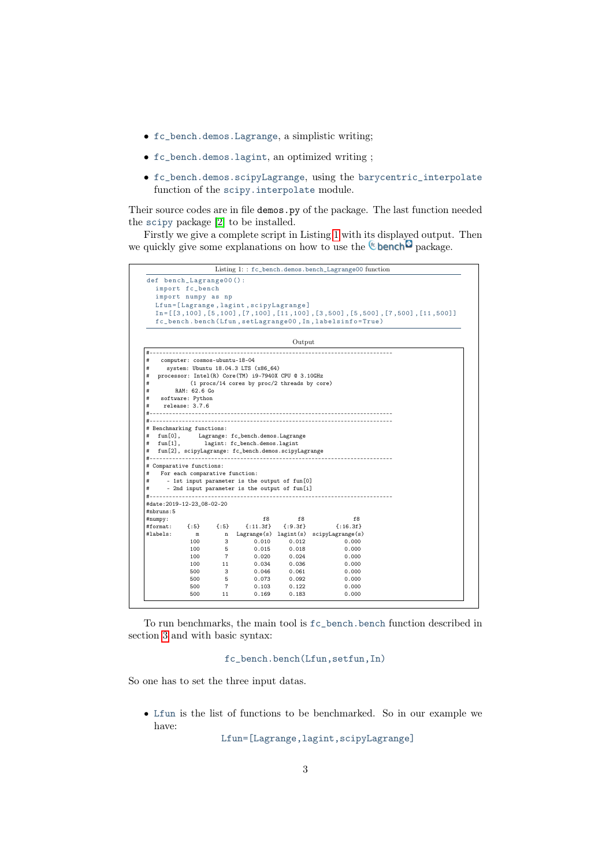- fc\_bench.demos.Lagrange, a simplistic writing;
- fc\_bench.demos.lagint, an optimized writing ;
- fc\_bench.demos.scipyLagrange, using the barycentric\_interpolate function of the scipy.interpolate module.

Their source codes are in file demos.py of the package. The last function needed the scipy package [\[2\]](#page-24-0) to be installed.

Firstly we give a complete script in Listing [1](#page-2-0) with its displayed output. Then we quickly give some explanations on how to use the  $\mathbb{C}$  bench  $\mathbb{C}$  package.

<span id="page-2-0"></span>

|                                                                                                                                                                                 |                                |                |                                                                                                                                                                                        |                | Listing 1:: fc_bench.demos.bench_Lagrange00 function    |                                                                                           |
|---------------------------------------------------------------------------------------------------------------------------------------------------------------------------------|--------------------------------|----------------|----------------------------------------------------------------------------------------------------------------------------------------------------------------------------------------|----------------|---------------------------------------------------------|-------------------------------------------------------------------------------------------|
| def bench_Lagrange00():                                                                                                                                                         |                                |                |                                                                                                                                                                                        |                |                                                         |                                                                                           |
|                                                                                                                                                                                 | import fc_bench                |                |                                                                                                                                                                                        |                |                                                         |                                                                                           |
|                                                                                                                                                                                 | import numpy as np             |                |                                                                                                                                                                                        |                |                                                         |                                                                                           |
|                                                                                                                                                                                 |                                |                | Lfun=[Lagrange, lagint, scipyLagrange]                                                                                                                                                 |                |                                                         |                                                                                           |
|                                                                                                                                                                                 |                                |                |                                                                                                                                                                                        |                |                                                         | $In = [[3, 100], [5, 100], [7, 100], [11, 100], [3, 500], [5, 500], [7, 500], [11, 500]]$ |
|                                                                                                                                                                                 |                                |                |                                                                                                                                                                                        |                | fc_bench.bench(Lfun,setLagrange00, In, labelsinfo=True) |                                                                                           |
|                                                                                                                                                                                 |                                |                |                                                                                                                                                                                        | Output         |                                                         |                                                                                           |
| #                                                                                                                                                                               |                                |                |                                                                                                                                                                                        |                |                                                         |                                                                                           |
| #                                                                                                                                                                               | computer: cosmos-ubuntu-18-04  |                |                                                                                                                                                                                        |                |                                                         |                                                                                           |
| #<br>#                                                                                                                                                                          |                                |                | system: Ubuntu 18.04.3 LTS (x86_64)<br>processor: Intel(R) Core(TM) i9-7940X CPU @ 3.10GHz                                                                                             |                |                                                         |                                                                                           |
| #                                                                                                                                                                               |                                |                | (1 procs/14 cores by proc/2 threads by core)                                                                                                                                           |                |                                                         |                                                                                           |
| #                                                                                                                                                                               | RAM: 62.6 Go                   |                |                                                                                                                                                                                        |                |                                                         |                                                                                           |
| #                                                                                                                                                                               | software: Python               |                |                                                                                                                                                                                        |                |                                                         |                                                                                           |
| #                                                                                                                                                                               | release: 3.7.6                 |                |                                                                                                                                                                                        |                |                                                         |                                                                                           |
| #                                                                                                                                                                               | ------------                   |                |                                                                                                                                                                                        |                |                                                         |                                                                                           |
| fun[0],                                                                                                                                                                         |                                |                | Lagrange: fc_bench.demos.Lagrange                                                                                                                                                      |                |                                                         |                                                                                           |
| $fun[1]$ ,                                                                                                                                                                      | For each comparative function: |                | lagint: fc_bench.demos.lagint<br>fun[2], scipyLagrange: fc_bench.demos.scipyLagrange<br>- 1st input parameter is the output of fun[0]<br>- 2nd input parameter is the output of fun[i] |                |                                                         |                                                                                           |
|                                                                                                                                                                                 |                                |                |                                                                                                                                                                                        |                |                                                         |                                                                                           |
|                                                                                                                                                                                 |                                |                |                                                                                                                                                                                        |                |                                                         |                                                                                           |
|                                                                                                                                                                                 |                                |                | f8                                                                                                                                                                                     | f8             | f8                                                      |                                                                                           |
|                                                                                                                                                                                 | $\{.5\}$                       | $\{.5\}$       | $\{$ :11.3f}                                                                                                                                                                           | ${:}9.3f$      | $\{: 16.3f\}$                                           |                                                                                           |
|                                                                                                                                                                                 | $\mathbf m$                    | $\mathbf n$    |                                                                                                                                                                                        |                | Lagrange(s) lagint(s) scipyLagrange(s)                  |                                                                                           |
|                                                                                                                                                                                 | 100                            | 3              | 0.010                                                                                                                                                                                  | 0.012          | 0.000                                                   |                                                                                           |
|                                                                                                                                                                                 | 100                            | 5              | 0.015                                                                                                                                                                                  | 0.018          | 0.000                                                   |                                                                                           |
|                                                                                                                                                                                 | 100                            | $\overline{7}$ | 0.020                                                                                                                                                                                  | 0.024          | 0.000                                                   |                                                                                           |
|                                                                                                                                                                                 | 100                            | 11             | 0.034                                                                                                                                                                                  | 0.036          | 0.000                                                   |                                                                                           |
| # Benchmarking functions:<br>#<br>#<br>#<br>#<br># Comparative functions:<br>#<br>#<br>#<br>$# -$<br>#date: 2019-12-23_08-02-20<br>#nbruns:5<br>#numpy:<br>#format:<br>#labels: | 500<br>500                     | 3<br>5         | 0.046                                                                                                                                                                                  | 0.061          | 0.000                                                   |                                                                                           |
|                                                                                                                                                                                 | 500                            | $\overline{7}$ | 0.073<br>0.103                                                                                                                                                                         | 0.092<br>0.122 | 0.000<br>0.000                                          |                                                                                           |

To run benchmarks, the main tool is fc\_bench.bench function described in section [3](#page-6-0) and with basic syntax:

## fc\_bench.bench(Lfun,setfun,In)

So one has to set the three input datas.

' Lfun is the list of functions to be benchmarked. So in our example we have:

Lfun=[Lagrange,lagint,scipyLagrange]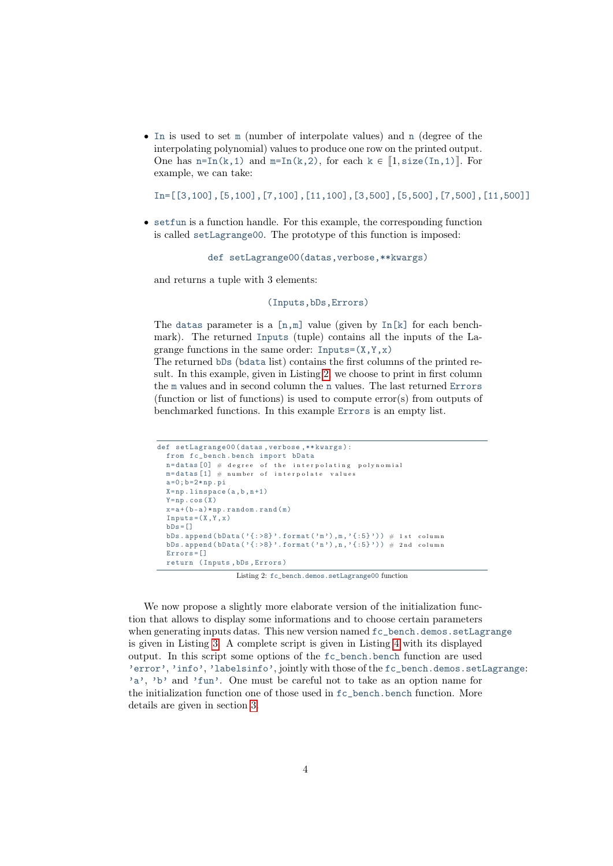' In is used to set m (number of interpolate values) and n (degree of the interpolating polynomial) values to produce one row on the printed output. One has  $n=In(k,1)$  and  $m=In(k,2)$ , for each  $k \in [1, size(In,1)]$ . For example, we can take:

```
In=[[3,100],[5,100],[7,100],[11,100],[3,500],[5,500],[7,500],[11,500]]
```
' setfun is a function handle. For this example, the corresponding function is called setLagrange00. The prototype of this function is imposed:

def setLagrange00(datas,verbose,\*\*kwargs)

and returns a tuple with 3 elements:

(Inputs,bDs,Errors)

The datas parameter is a  $[n,m]$  value (given by  $In[k]$  for each benchmark). The returned Inputs (tuple) contains all the inputs of the Lagrange functions in the same order: Inputs= $(X, Y, x)$ 

The returned bDs (bdata list) contains the first columns of the printed result. In this example, given in Listing [2,](#page-3-0) we choose to print in first column the m values and in second column the n values. The last returned Errors (function or list of functions) is used to compute error(s) from outputs of benchmarked functions. In this example Errors is an empty list.

```
def setLagrange00 ( datas , verbose ,** kwargs ) :
  from fc_bench . bench import bData
  n =datas [0] # degree of the interpolating polynomial
  m =datas [1] \# number of interpolate values
  a = 0; b = 2 * np. pi
  X = np. linspace (a, b, n+1)Y = np \cdot cos(X)x = a + (b - a) * np. random. rand (m)Inputs = (X, Y, x)hDe = [1]bDs.append (bData ( '{: > 8} ' .format ( 'm'), m, '{: 5} ')) # 1 st column
  bDs. append (bData (\{ : >8 \}'. format ('n'), n, '{:5}')) # 2nd column
  Errors =[]
  return ( Inputs , bDs , Errors )
```
Listing 2: fc\_bench.demos.setLagrange00 function

We now propose a slightly more elaborate version of the initialization function that allows to display some informations and to choose certain parameters when generating inputs datas. This new version named  $fc{\text{-}}$  bench.demos.setLagrange is given in Listing [3.](#page-4-0) A complete script is given in Listing [4](#page-5-1) with its displayed output. In this script some options of the fc\_bench.bench function are used 'error', 'info', 'labelsinfo', jointly with those of the fc\_bench.demos.setLagrange: 'a', 'b' and 'fun'. One must be careful not to take as an option name for the initialization function one of those used in fc\_bench.bench function. More details are given in section [3.](#page-6-0)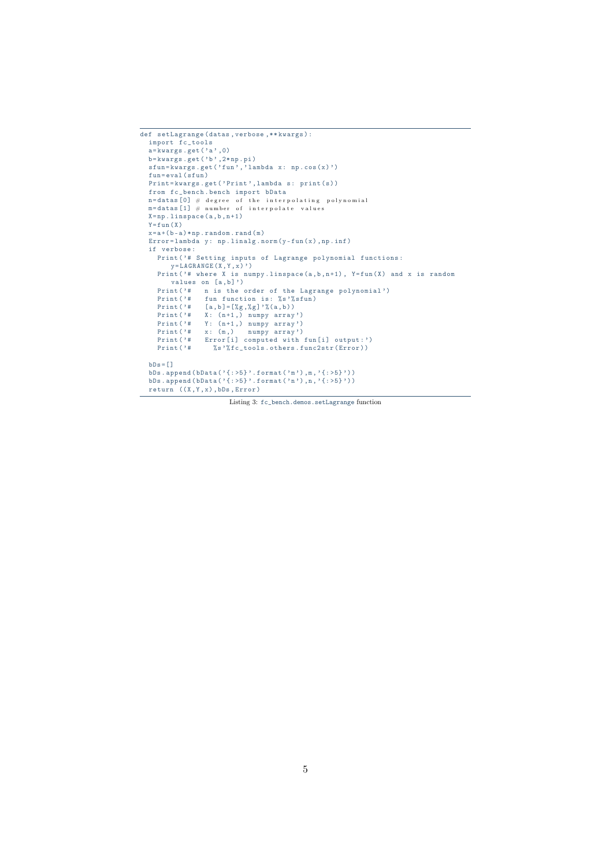```
def setLagrange ( datas , verbose ,** kwargs ) :
  import fc_tools
  a = k \text{wargs.get} (a, 0)
  b = k \text{wargs.get('b',2*np.pi)}sfun=kwargs.get ('fun','lambda x: np.cos(x)')
  fun=eval (sfun)
  Print=kwargs.get ('Print', lambda s: print (s))
   from fc_bench . bench import bData
   n = datas [0] \# degree of the interpolating polynomial
   m = datas [1] \# number of interpolate values
  X = np. linspace (a, b, n+1)Y = fun(X)\mathtt{x}\mathtt{=a}\mathtt{+(b-a)}\mathtt{*np} . \mathtt{random} . \mathtt{rand}\left(\mathtt{m}\right)Error = lambda y: np. linalg.norm (y-fun(x),np.inf)
  if verbose :
     Print ('# Setting inputs of Lagrange polynomial functions:
         y = LAGRANGE(X, Y, x)')
     Print ('# where X is numpy.linspace (a, b, n+1), Y=fun (X) and x is random
        values on [a,b]')
     Print ('# n is the order of the Lagrange polynomial')
     Print ('# fun function is: % s'% sfun)
     Print ('# [a, b] = [\%g, \%g] '(\%a, b))<br>Print ('# X: (n+1,) numpy array
     Print('# X: (n+1,) numpy array')Print('# Y: (n+1,) numpy array')Print ( '# Y: (n+1, ) numpy array ')<br>Print ( '# x: (m, ) numpy array ')<br>Print ( '# Error [i] computed with
    Print ('# Error [i] computed with fun [i] output : ')<br>Print ('# %s'*fc tools.others.func2str(Error))
                     %s '%fc_tools.others.func2str (Error))
  bDs = []bDs.append(bData('{:>5}'.format('m'),m,'{:>5}'))
   bDs.append(bData('{:>5}'.format('n'),n,'{:>5}'))
  return ((X,Y,x),bDs,Error)
```
Listing 3: fc\_bench.demos.setLagrange function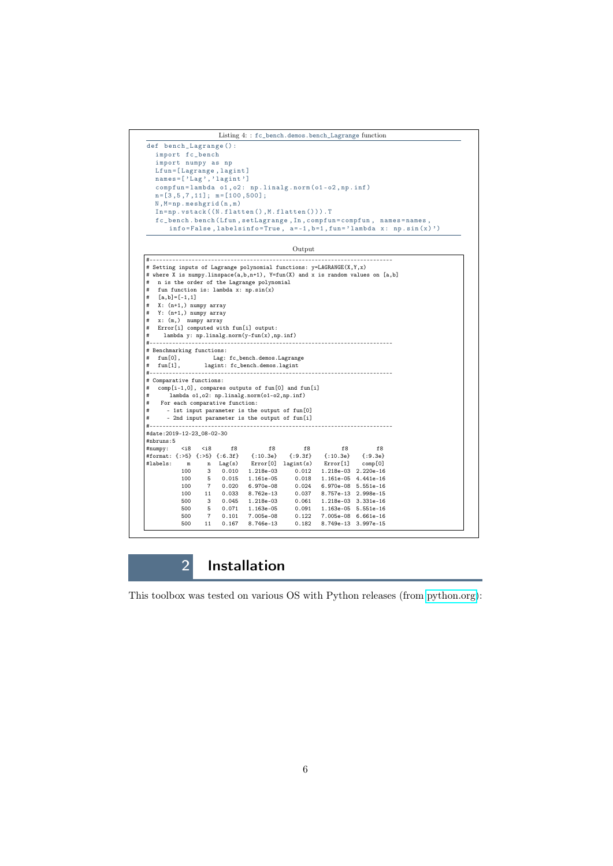```
Listing 4: : fc_bench.demos.bench_Lagrange function
def bench_Lagrange () :
  import fc_bench
   import numpy as np
  Lfun = [Lagrange, lagint]
  names = [\n \cdot \text{Lag}\n \cdot \n \cdot \text{Lagint}\n \cdot \n]compfun = lambda o1 , o2 : np . linalg . norm ( o1 - o2 , np . inf )
  n = [3, 5, 7, 11]; m = [100, 500];\texttt{N}, \texttt{M} \texttt{=} \texttt{np} . \tt{meshgrid}\left(\texttt{n}, \texttt{m}\right)In = np. vstack((N. flatten(), M. flatten(), T.fc_bench.bench (Lfun, setLagrange, In, compfun = compfun, names = names,
       info=False, labelsinfo=True, a=-1, b=1, fun='lambda x: np.sin(x)')
```
Output



## 2 Installation

<span id="page-5-0"></span>This toolbox was tested on various OS with Python releases (from [python.org\)](www.python.org):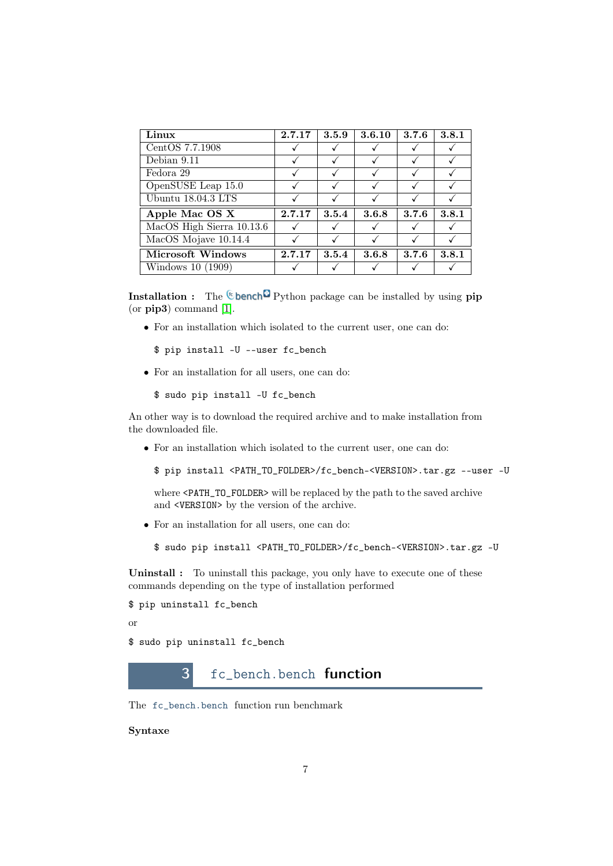| Linux                     | 2.7.17 | 3.5.9 | 3.6.10 | 3.7.6 | 3.8.1 |
|---------------------------|--------|-------|--------|-------|-------|
| CentOS 7.7.1908           |        |       |        |       |       |
| Debian 9.11               |        |       |        |       |       |
| Fedora 29                 |        |       |        |       |       |
| OpenSUSE Leap 15.0        |        |       |        |       |       |
| Ubuntu 18.04.3 LTS        |        |       |        |       |       |
| Apple Mac OS X            | 2.7.17 | 3.5.4 | 3.6.8  | 3.7.6 | 3.8.1 |
| MacOS High Sierra 10.13.6 |        |       |        |       |       |
| MacOS Mojave 10.14.4      |        |       |        |       |       |
| Microsoft Windows         | 2.7.17 | 3.5.4 | 3.6.8  | 3.7.6 | 3.8.1 |
| Windows 10 (1909)         |        |       |        |       |       |

**Installation :** The <sup>(c</sup> bench<sup>c)</sup> Python package can be installed by using pip (or pip3) command [\[1\]](#page-24-1).

• For an installation which isolated to the current user, one can do:

```
$ pip install -U --user fc_bench
```
• For an installation for all users, one can do:

```
$ sudo pip install -U fc_bench
```
An other way is to download the required archive and to make installation from the downloaded file.

• For an installation which isolated to the current user, one can do:

```
$ pip install <PATH_TO_FOLDER>/fc_bench-<VERSION>.tar.gz --user -U
```
where <PATH\_TO\_FOLDER> will be replaced by the path to the saved archive and <VERSION> by the version of the archive.

• For an installation for all users, one can do:

\$ sudo pip install <PATH\_TO\_FOLDER>/fc\_bench-<VERSION>.tar.gz -U

Uninstall : To uninstall this package, you only have to execute one of these commands depending on the type of installation performed

```
$ pip uninstall fc_bench
```
or

<span id="page-6-0"></span>\$ sudo pip uninstall fc\_bench

## 3 fc\_bench.bench function

The fc\_bench.bench function run benchmark

Syntaxe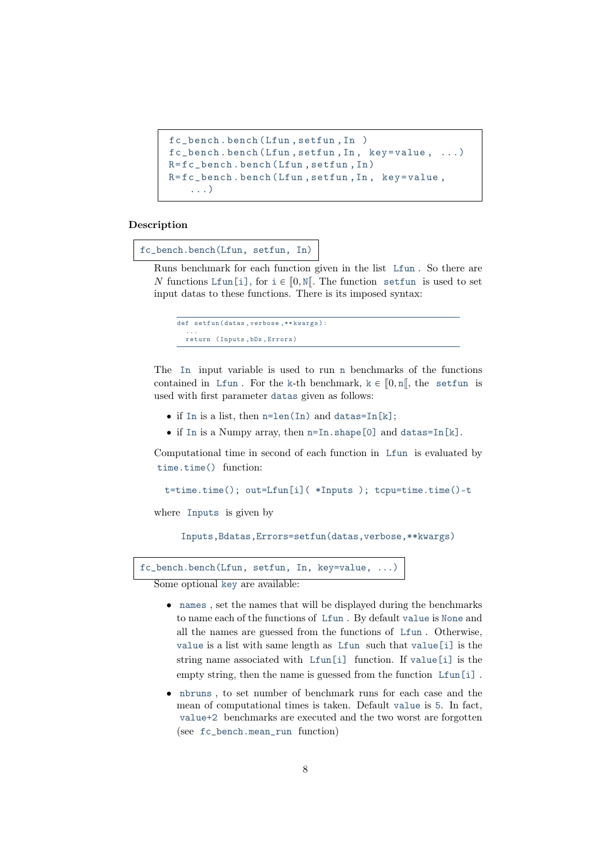```
fc_bench . bench ( Lfun , setfun , In )
fc_bench . bench ( Lfun , setfun , In , key = value , ...)
R = fc_bench . bench ( Lfun , setfun , In )
R=fc_bench.bench (Lfun, setfun, In, key=value,
    ...)
```
### Description

fc\_bench.bench(Lfun, setfun, In)

Runs benchmark for each function given in the list Lfun . So there are N functions Lfun[i], for  $i \in [0, N]$ . The function setfun is used to set input datas to these functions. There is its imposed syntax:

```
def setfun (datas, verbose, ** kwargs) :
  ...
  return ( Inputs , bDs , Errors )
```
The In input variable is used to run n benchmarks of the functions contained in Lfun. For the k-th benchmark,  $k \in [0, n]$ , the setfun is used with first parameter datas given as follows:

- $\bullet$  if In is a list, then n=len(In) and datas=In[k];
- $\bullet$  if In is a Numpy array, then n=In.shape[0] and datas=In[k].

Computational time in second of each function in Lfun is evaluated by time.time() function:

```
t=time.time(); out=Lfun[i]( *Inputs ); tcpu=time.time()-t
```
where Inputs is given by

Inputs,Bdatas,Errors=setfun(datas,verbose,\*\*kwargs)

```
fc_bench.bench(Lfun, setfun, In, key=value, ...)
```
Some optional key are available:

- names , set the names that will be displayed during the benchmarks to name each of the functions of Lfun . By default value is None and all the names are guessed from the functions of Lfun . Otherwise, value is a list with same length as Lfun such that value[i] is the string name associated with Lfun[i] function. If value[i] is the empty string, then the name is guessed from the function Lfun[i].
- nbruns , to set number of benchmark runs for each case and the mean of computational times is taken. Default value is 5. In fact, value+2 benchmarks are executed and the two worst are forgotten (see fc\_bench.mean\_run function)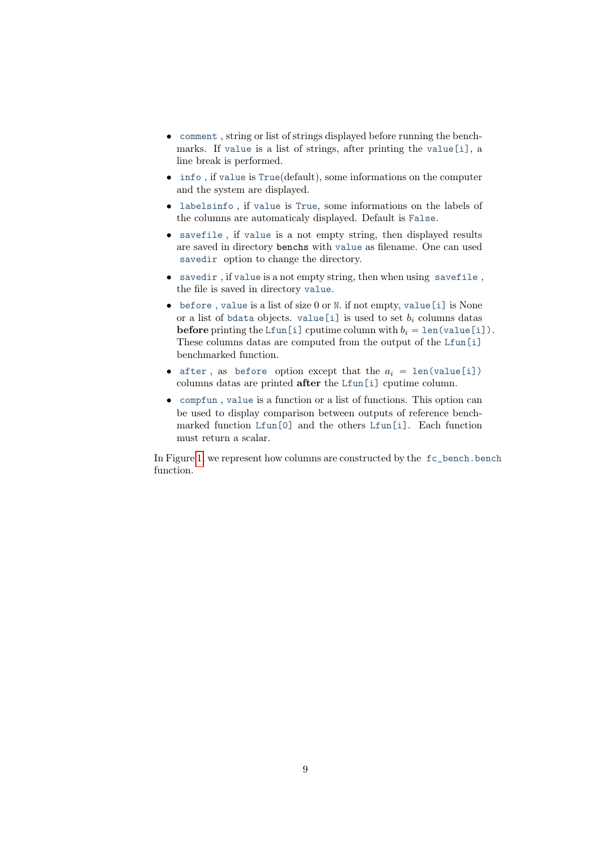- comment , string or list of strings displayed before running the benchmarks. If value is a list of strings, after printing the value[i], a line break is performed.
- info , if value is True(default), some informations on the computer and the system are displayed.
- labelsinfo , if value is True, some informations on the labels of the columns are automaticaly displayed. Default is False.
- savefile , if value is a not empty string, then displayed results are saved in directory benchs with value as filename. One can used savedir option to change the directory.
- savedir , if value is a not empty string, then when using savefile , the file is saved in directory value.
- before , value is a list of size 0 or N. if not empty, value[i] is None or a list of bdata objects. value [i] is used to set  $b_i$  columns datas **before** printing the Lfun[i] cputime column with  $b_i = \text{len}(\text{value}[i])$ . These columns datas are computed from the output of the Lfun[i] benchmarked function.
- after, as before option except that the  $a_i = \text{len}(\text{value}[i])$ columns datas are printed after the Lfun[i] cputime column.
- compfun , value is a function or a list of functions. This option can be used to display comparison between outputs of reference benchmarked function Lfun[0] and the others Lfun[i]. Each function must return a scalar.

In Figure [1,](#page-9-1) we represent how columns are constructed by the fc\_bench.bench function.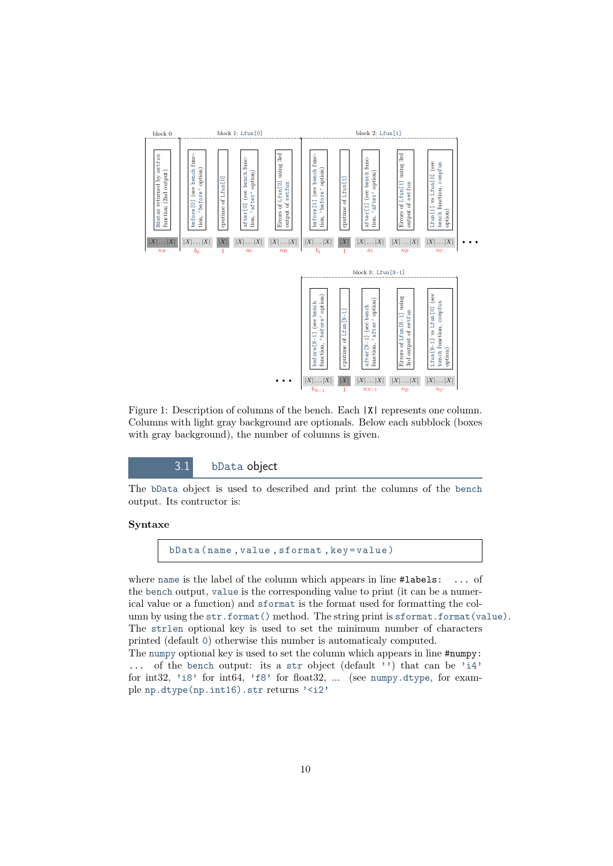<span id="page-9-1"></span>

Figure 1: Description of columns of the bench. Each  $|X|$  represents one column. Columns with light gray background are optionals. Below each subblock (boxes with gray background), the number of columns is given.

3.1 bData object

<span id="page-9-0"></span>The bData object is used to described and print the columns of the bench output. Its contructor is:

## Syntaxe

bData (name, value, sformat, key=value)

where name is the label of the column which appears in line #labels: ... of the bench output, value is the corresponding value to print (it can be a numerical value or a function) and sformat is the format used for formatting the column by using the str.format() method. The string print is sformat.format(value). The strlen optional key is used to set the minimum number of characters printed (default 0) otherwise this number is automaticaly computed. The numpy optional key is used to set the column which appears in line #numpy: ... of the bench output: its a str object (default '') that can be 'i4' for int32, 'i8' for int64, 'f8' for float32, ... (see numpy.dtype, for example np.dtype(np.int16).str returns '<i2'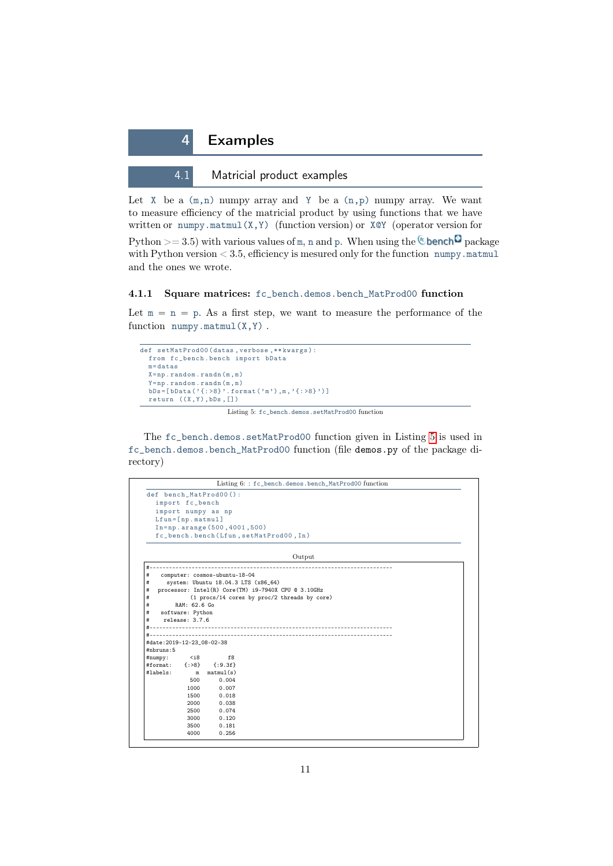<span id="page-10-0"></span>

<span id="page-10-1"></span>Let  $X$  be a  $(m,n)$  numpy array and Y be a  $(n,p)$  numpy array. We want to measure efficiency of the matricial product by using functions that we have written or numpy.matmul(X,Y) (function version) or  $X \& Y$  (operator version for

Python  $>=$  3.5) with various values of m, n and p. When using the **C** bench<sup>c</sup> package with Python version  $<$  3.5, efficiency is mesured only for the function numpy.matmul and the ones we wrote.

## <span id="page-10-2"></span>4.1.1 Square matrices: fc\_bench.demos.bench\_MatProd00 function

Let  $m = n = p$ . As a first step, we want to measure the performance of the function  $\text{numpy}.\text{matmul}(X,Y)$ .

```
def setMatProd00 (datas, verbose, ** kwargs) :
  from fc_bench . bench import bData
  m =datas
  \mathtt{X}\mathtt{=np} . \mathtt{random} . \mathtt{randn} (m , m )
   Y = np \cdot random \cdot randn(m, m)bDs = [bData('{:>8}'.format('m'),m,'{:>8}')]
  return ((X,Y), bDs, [])
```
Listing 5: fc\_bench.demos.setMatProd00 function

The fc\_bench.demos.setMatProd00 function given in Listing [5](#page-10-3) is used in fc\_bench.demos.bench\_MatProd00 function (file demos.py of the package directory)

|                            |                                    | Listing 6: : fc_bench.demos.bench_MatProd00 function |  |
|----------------------------|------------------------------------|------------------------------------------------------|--|
|                            |                                    | def bench_MatProd00():                               |  |
|                            | import fc_bench                    |                                                      |  |
|                            |                                    | import numpy as np                                   |  |
|                            | $Lfun=[np.mathu1]$                 |                                                      |  |
|                            |                                    | In=np.arange(500,4001,500)                           |  |
|                            |                                    | fc_bench.bench(Lfun,setMatProd00, In)                |  |
|                            |                                    | Output                                               |  |
| #-                         |                                    |                                                      |  |
| #                          |                                    | computer: cosmos-ubuntu-18-04                        |  |
| #                          |                                    | system: Ubuntu 18.04.3 LTS (x86_64)                  |  |
| #                          |                                    | processor: Intel(R) Core(TM) i9-7940X CPU @ 3.10GHz  |  |
| #                          | RAM: 62.6 Go                       | (1 procs/14 cores by proc/2 threads by core)         |  |
| #<br>#                     |                                    |                                                      |  |
| #                          | software: Python<br>relense: 3.7.6 |                                                      |  |
|                            |                                    |                                                      |  |
|                            |                                    |                                                      |  |
| #date: 2019-12-23_08-02-38 |                                    |                                                      |  |
| #nbruns:5                  |                                    |                                                      |  |
| #numpy:                    | $<$ i8                             | f8                                                   |  |
| #format:                   | $\{$ : >8}                         | $\{.9.3f\}$                                          |  |
| #labels:                   | m                                  | matmul(s)                                            |  |
|                            | 500                                | 0.004                                                |  |
|                            | 1000                               | 0.007                                                |  |
|                            | 1500                               | 0.018                                                |  |
|                            | 2000                               | 0.038                                                |  |
|                            | 2500                               | 0.074                                                |  |
|                            | 3000                               | 0.120                                                |  |
|                            | 3500                               | 0.181                                                |  |
|                            | 4000                               | 0.256                                                |  |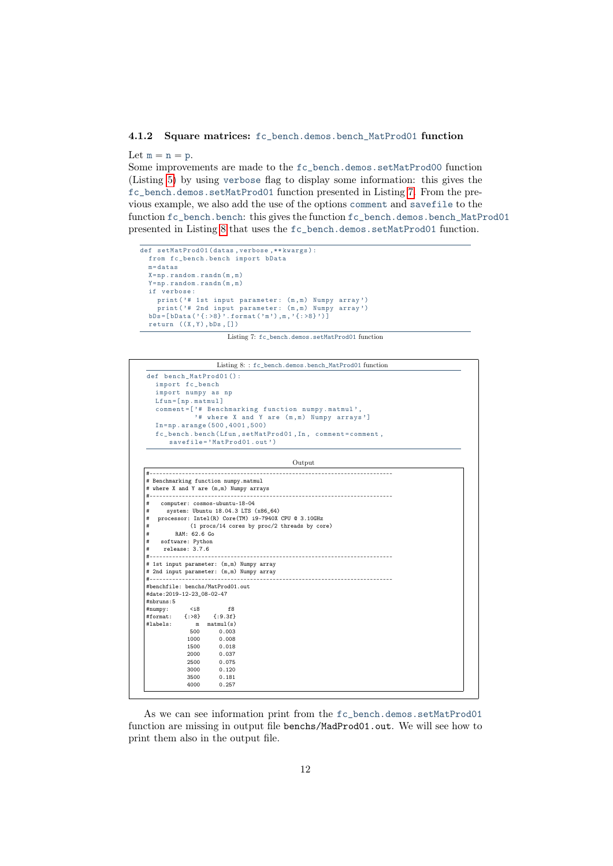### <span id="page-11-2"></span><span id="page-11-1"></span><span id="page-11-0"></span>4.1.2 Square matrices: fc\_bench.demos.bench\_MatProd01 function

Let  $m = n = p$ .

Some improvements are made to the fc\_bench.demos.setMatProd00 function (Listing [5\)](#page-10-3) by using verbose flag to display some information: this gives the fc\_bench.demos.setMatProd01 function presented in Listing [7.](#page-11-1) From the previous example, we also add the use of the options comment and savefile to the function fc\_bench.bench: this gives the function fc\_bench.demos.bench\_MatProd01 presented in Listing [8](#page-11-2) that uses the fc\_bench.demos.setMatProd01 function.

```
def setMatProd01 (datas, verbose, ** kwargs) :
  from fc_bench . bench import bData
  m =datas
  X = np . random . randn (m , m )
  Y = np. random. randn(m, m)if verbose :
    print ('# 1st input parameter: (m, m) Numpy array')
    .<br>print ('# 2nd input parameter: (m,m) Numpy array')
  bDs = [bData('{:>8}'.format('m'),m,'{:>8}')]
  return ((X,Y),bDs,[])
```
Listing 7: fc\_bench.demos.setMatProd01 function

|                            |                    |                                                                                | Listing 8:: fc_bench.demos.bench_MatProd01 function    |  |  |  |
|----------------------------|--------------------|--------------------------------------------------------------------------------|--------------------------------------------------------|--|--|--|
|                            |                    | def bench_MatProd01():                                                         |                                                        |  |  |  |
|                            | import fc_bench    |                                                                                |                                                        |  |  |  |
|                            |                    | import numpy as np                                                             |                                                        |  |  |  |
|                            | $Lfun=[np.mathu1]$ |                                                                                |                                                        |  |  |  |
|                            |                    |                                                                                | comment=['# Benchmarking function numpy.matmul',       |  |  |  |
|                            |                    |                                                                                | '# where X and Y are (m,m) Numpy arrays']              |  |  |  |
|                            |                    | $In=np. arrange(500, 4001, 500)$                                               |                                                        |  |  |  |
|                            |                    |                                                                                | fc_bench.bench(Lfun,setMatProd01, In, comment=comment, |  |  |  |
|                            |                    | savefile='MatProd01.out')                                                      |                                                        |  |  |  |
|                            |                    |                                                                                | Output                                                 |  |  |  |
|                            |                    |                                                                                |                                                        |  |  |  |
|                            |                    |                                                                                |                                                        |  |  |  |
|                            |                    | # Benchmarking function numpy.matmul<br># where X and Y are (m,m) Numpy arrays |                                                        |  |  |  |
|                            |                    |                                                                                |                                                        |  |  |  |
|                            |                    |                                                                                |                                                        |  |  |  |
|                            |                    |                                                                                |                                                        |  |  |  |
| #                          |                    | computer: cosmos-ubuntu-18-04                                                  |                                                        |  |  |  |
| #<br>#                     |                    |                                                                                | system: Ubuntu 18.04.3 LTS (x86_64)                    |  |  |  |
| #                          |                    |                                                                                | processor: Intel(R) Core(TM) i9-7940X CPU @ 3.10GHz    |  |  |  |
|                            | RAM: 62.6 Go       |                                                                                | (1 procs/14 cores by proc/2 threads by core)           |  |  |  |
| #<br>#                     | software: Python   |                                                                                |                                                        |  |  |  |
| #                          | release: 3.7.6     |                                                                                |                                                        |  |  |  |
|                            |                    |                                                                                |                                                        |  |  |  |
|                            |                    | # 1st input parameter: (m,m) Numpy array                                       |                                                        |  |  |  |
|                            |                    | # 2nd input parameter: (m,m) Numpy array                                       |                                                        |  |  |  |
|                            |                    |                                                                                |                                                        |  |  |  |
|                            |                    | #benchfile: benchs/MatProd01.out                                               |                                                        |  |  |  |
| #date: 2019-12-23_08-02-47 |                    |                                                                                |                                                        |  |  |  |
| #nbruns:5                  |                    |                                                                                |                                                        |  |  |  |
| #numpy:                    | $<$ i8             | f8                                                                             |                                                        |  |  |  |
| #labels:                   |                    | #format: {:>8} {:9.3f}<br>m matmul(s)                                          |                                                        |  |  |  |
|                            | 500                | 0.003                                                                          |                                                        |  |  |  |
|                            | 1000               | 0.008                                                                          |                                                        |  |  |  |
|                            | 1500               | 0.018                                                                          |                                                        |  |  |  |
|                            | 2000               | 0.037                                                                          |                                                        |  |  |  |
|                            | 2500               | 0.075                                                                          |                                                        |  |  |  |
|                            | 3000               | 0.120                                                                          |                                                        |  |  |  |
|                            | 3500               | 0.181                                                                          |                                                        |  |  |  |

As we can see information print from the fc\_bench.demos.setMatProd01 function are missing in output file benchs/MadProd01.out. We will see how to print them also in the output file.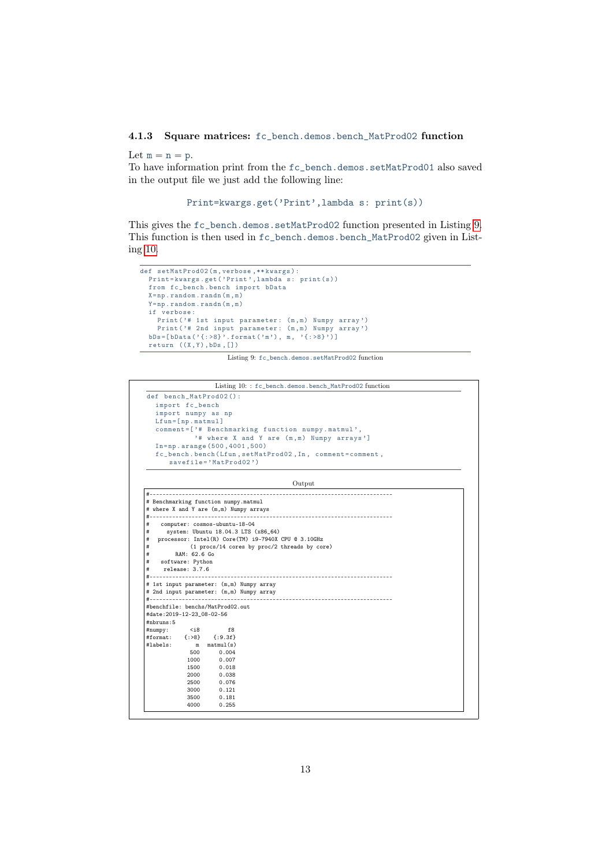## <span id="page-12-0"></span>4.1.3 Square matrices: fc\_bench.demos.bench\_MatProd02 function

Let  $m = n = p$ .

#nbruns:5

#numpy: <i8 f8<br>#numpy: <i8 f8<br>#format: {:>8} {:9.3f} \*\*<br>#format: {:>8}<br>#labels: m

 $m$  matmul(s)<br> $500$   $0.004$  $\begin{bmatrix} 500 & 0.004 \\ 1000 & 0.007 \end{bmatrix}$ 1000 0.007<br>1500 0.018  $\begin{array}{ccc} 1500 & \quad & 0.018 \\ 2000 & \quad & 0.038 \end{array}$ 2000 0.038 2500 0.076 3000 0.121 3500 0.181  $0.255$ 

To have information print from the fc\_bench.demos.setMatProd01 also saved in the output file we just add the following line:

```
Print=kwargs.get('Print',lambda s: print(s))
```
This gives the fc\_bench.demos.setMatProd02 function presented in Listing [9.](#page-12-1) This function is then used in fc\_bench.demos.bench\_MatProd02 given in Listing [10.](#page-12-2)

```
def setMatProd02 (m, verbose, ** kwargs) :
 Print=kwargs.get ('Print', lambda s: print (s))
  from fc_bench . bench import bData
 X = np.random.random(m, m)Y = np . random . randn (m, m)
  if verbose :
    Print ('# 1st input parameter: (m, m) Numpy array')
    Print ('# 2nd input parameter: (m, m) Numpy array')
  bDs = [bData('{:>8}'.format('m'), m, '{:>8}')]
  return ((X,Y), bDs, [])
```
Listing 9: fc\_bench.demos.setMatProd02 function

<span id="page-12-2"></span>

| def bench_MatProd02():                                                                                                       |                                                        |
|------------------------------------------------------------------------------------------------------------------------------|--------------------------------------------------------|
| import fc_bench                                                                                                              |                                                        |
| import numpy as np                                                                                                           |                                                        |
| $Lfun=[np.mathu1]$                                                                                                           |                                                        |
|                                                                                                                              | comment=['# Benchmarking function numpy.matmul',       |
|                                                                                                                              | '# where X and Y are (m,m) Numpy arrays']              |
| $In=np. \text{ arrange } (500, 4001, 500)$                                                                                   |                                                        |
|                                                                                                                              | fc_bench.bench(Lfun,setMatProd02, In, comment=comment, |
| $savefile='MatProd02')$                                                                                                      |                                                        |
|                                                                                                                              |                                                        |
|                                                                                                                              |                                                        |
|                                                                                                                              | Output                                                 |
|                                                                                                                              |                                                        |
|                                                                                                                              |                                                        |
| # Benchmarking function numpy.matmul<br># where X and Y are (m,m) Numpy arrays                                               |                                                        |
|                                                                                                                              |                                                        |
| computer: cosmos-ubuntu-18-04                                                                                                |                                                        |
|                                                                                                                              | system: Ubuntu 18.04.3 LTS (x86_64)                    |
|                                                                                                                              | processor: Intel(R) Core(TM) i9-7940X CPU @ 3.10GHz    |
|                                                                                                                              | (1 procs/14 cores by proc/2 threads by core)           |
| RAM: 62.6 Go                                                                                                                 |                                                        |
| software: Python                                                                                                             |                                                        |
| release: 3.7.6                                                                                                               |                                                        |
|                                                                                                                              |                                                        |
| #<br>#<br>#<br>#<br>#<br>#<br>#<br>#<br># 1st input parameter: (m,m) Numpy array<br># 2nd input parameter: (m,m) Numpy array |                                                        |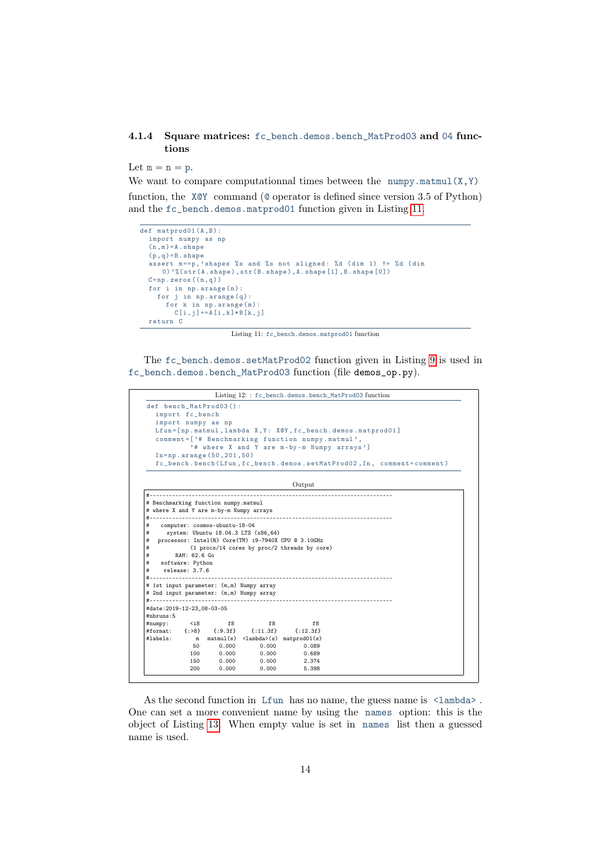## <span id="page-13-1"></span><span id="page-13-0"></span>4.1.4 Square matrices: fc\_bench.demos.bench\_MatProd03 and 04 functions

Let  $m = n = p$ .

We want to compare computationnal times between the numpy.matmul $(X, Y)$ function, the X@Y command (@ operator is defined since version 3.5 of Python) and the fc\_bench.demos.matprod01 function given in Listing [11.](#page-13-1)

```
\overline{\text{def matprod}(A,B)}:
  import numpy as np
  (n \cdot m) = A. shape
  (p, q) = B. shape
   assert m==p, 'shapes % s and % s not aligned: %d (dim 1) != %d (dim
      0) \frac{1}{6} (str(A. shape), str(B. shape), A. shape [1], B. shape [0])
  C = np \cdot zeros((n, q))for i in np.arange(n):
    for j in np.arange(q):
       for k in np. arange (m) :
         C[i,j] += A[i,k]*B[k,j]return C
```
Listing 11: fc\_bench.demos.matprod01 function

The fc\_bench.demos.setMatProd02 function given in Listing [9](#page-12-1) is used in fc\_bench.demos.bench\_MatProd03 function (file demos\_op.py).

```
Listing 12: : fc_bench.demos.bench_MatProd03 function
def bench MatProd03 () :
  import fc_bench
   import numpy as np
   Lfun = [np.matmul, lambda X, Y: X@Y, fc_bench.demos.matprod01]
  comment =[ '# Benchmarking function numpy . matmul ' ,
              '# where X and Y are m - by - m Numpy arrays ']
  In = np . arange (50 ,201 ,50)
  fc_bench . bench ( Lfun , fc_bench . demos . setMatProd02 , In , comment = comment )
                                                Output
#---------------------------------------------------------------------------
# Benchmarking function numpy.matmul
# where X and Y are m-by-m Numpy arrays
#---------------------------------------------------------------------------
    # computer: cosmos-ubuntu-18-04
# system: Ubuntu 18.04.3 LTS (x86_64)
# processor: Intel(R) Core(TM) i9-7940X CPU @ 3.10GHz
             (1 procs/14 cores by proc/2 threads by core)
        # RAM: 62.6 Go
   software: Python
# release: 3.7.6
      #---------------------------------------------------------------------------
# 1st input parameter: (m,m) Numpy array
# 2nd input parameter: (m,m) Numpy array
                          #---------------------------------------------------------------------------
#date:2019-12-23_08-03-05
#nbruns:5
#numpy: <i8 f8 f8 f8
#format: {:>8} {:9.3f} {:11.3f} {:12.3f}
               m matmul(s) \langlelambda>(s) matprod01(s)<br>50 0.000 0.000 0.089
              50 0.000 0.000 0.089
              100 0.000 0.000 0.689
              150 0.000 0.000 2.374
              200 0.000 0.000 5.398
```
As the second function in Lfun has no name, the guess name is  $\langle$ lambda>. One can set a more convenient name by using the names option: this is the object of Listing [13.](#page-14-1) When empty value is set in names list then a guessed name is used.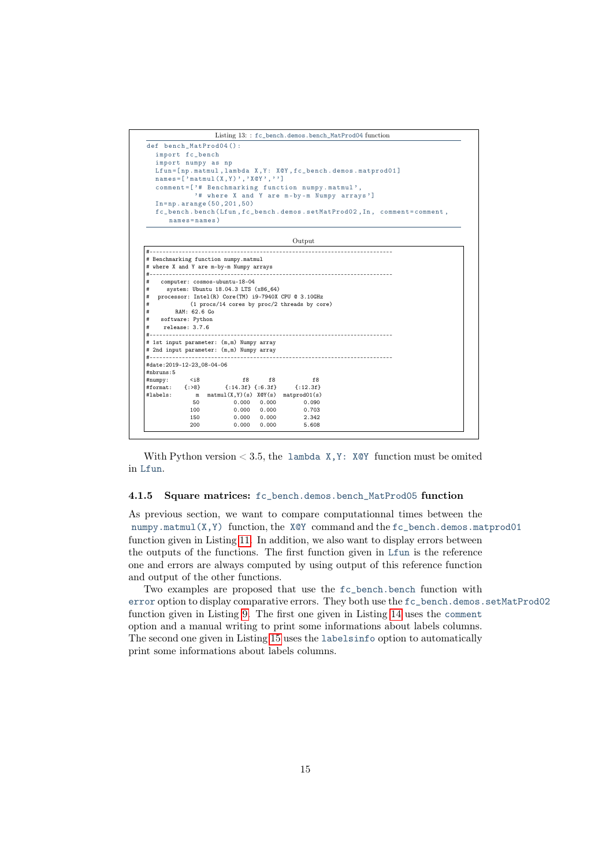<span id="page-14-1"></span>

# RAM: 62.6 Go<br># software: Python software: Python release: 3.7.6

#date:2019-12-23\_08-04-06

#nbruns:5

# 1st input parameter: (m,m) Numpy array # 2nd input parameter: (m,m) Numpy array

+format: {:>8} {:14.3f} {:6.3f}<br>
#dabels: m matmul(X,Y)(s) X@Y(s)

#numpy: <i8 f8 f8 f8

#labels: m matmul(X,Y)(s) X@Y(s) matprod01(s) 50 0.000 0.000 0.090

100 0.000 0.000 0.703 150 0.000 0.000 2.342 200 0.000 0.000 5.608

With Python version  $\lt 3.5$ , the lambda X, Y: X@Y function must be omited in Lfun.

#### <span id="page-14-0"></span>4.1.5 Square matrices: fc\_bench.demos.bench\_MatProd05 function

#---------------------------------------------------------------------------

#---------------------------------------------------------------------------

As previous section, we want to compare computationnal times between the numpy.matmul(X,Y) function, the X@Y command and the fc\_bench.demos.matprod01 function given in Listing [11.](#page-13-1) In addition, we also want to display errors between the outputs of the functions. The first function given in Lfun is the reference one and errors are always computed by using output of this reference function and output of the other functions.

Two examples are proposed that use the fc\_bench.bench function with error option to display comparative errors. They both use the fc\_bench.demos.setMatProd02 function given in Listing [9.](#page-12-1) The first one given in Listing [14](#page-15-0) uses the comment option and a manual writing to print some informations about labels columns. The second one given in Listing [15](#page-16-1) uses the labelsinfo option to automatically print some informations about labels columns.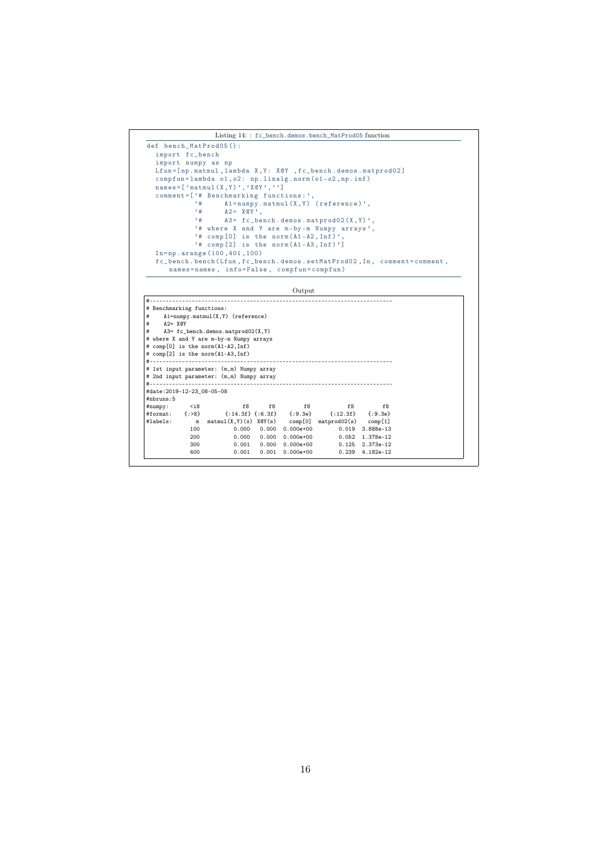```
Listing 14: : fc_bench.demos.bench_MatProd05 function
def bench_MatProd05 () :
    import fc_bench
     import numpy as np
Lfun =[ np . matmul , lambda X , Y : X@Y , fc_bench . demos . matprod02 ]
     compfun = lambda o1 , o2 : np . linalg . norm ( o1 - o2 , np . inf )
names =[ ' matmul (X , Y ) ' , ' X@Y ' , ' ']
     comment =[ '# Benchmarking functions : ' ,
'# A1 = numpy . matmul (X , Y ) ( reference ) ' ,
'# A2 = X@Y ' ,
'# A3 = fc_bench . demos . matprod02 (X , Y ) ' ,
'# where X and Y are m - by - m Numpy arrays ' ,
'# comp [0] is the norm ( A1 - A2 , Inf ) ' ,
'# comp [2] is the norm ( A1 - A3 , Inf ) ']
    In = np . arange (100 ,401 ,100)
     fc_bench . bench ( Lfun , fc_bench . demos . setMatProd02 , In , comment = comment ,
names = names , info = False , compfun = compfun )
```
Output

| # Benchmarking functions:  |              |                                                                          |               |       |                 |  |
|----------------------------|--------------|--------------------------------------------------------------------------|---------------|-------|-----------------|--|
| #                          |              | $A1 = number \dots \times I(X, Y)$ (reference)                           |               |       |                 |  |
| $A2 = XQY$<br>#            |              |                                                                          |               |       |                 |  |
| #                          |              | $A3 = f c_{\text{.}}$ bench.demos.matprod02 $(X, Y)$                     |               |       |                 |  |
|                            |              | # where X and Y are m-by-m Numpy arrays                                  |               |       |                 |  |
|                            |              | # comp[0] is the norm(A1-A2, Inf)                                        |               |       |                 |  |
|                            |              | # comp[2] is the norm(A1-A3, Inf)                                        |               |       |                 |  |
|                            |              |                                                                          |               |       |                 |  |
|                            |              | # 1st input parameter: (m,m) Numpy array                                 |               |       |                 |  |
|                            |              | # 2nd input parameter: (m,m) Numpy array                                 |               |       |                 |  |
|                            |              |                                                                          |               |       |                 |  |
| #date: 2019-12-23_08-05-08 |              |                                                                          |               |       |                 |  |
| #nbruns:5                  |              |                                                                          |               |       |                 |  |
|                            |              | $# \text{numpy}:$ $\langle i8 \rangle$<br>f8                             | $f8$ f8       | f8    | $-$ f8          |  |
|                            |              | #format: {:>8} {:14.3f} {:6.3f} {:9.3e} {:12.3f} {:9.3e}                 |               |       |                 |  |
|                            |              |                                                                          |               |       |                 |  |
| #labels:                   | $\mathbf{m}$ | $\text{matmul}(X, Y)(s)$ $XQY(s)$ comp[0] $\text{matprod}(02(s)$ comp[1] |               |       |                 |  |
|                            | 100          | 0.000<br>0.000                                                           | $0.000e + 00$ |       | 0.019 3.888e-13 |  |
|                            | 200          | 0.000<br>0.000                                                           | $0.000e + 00$ | 0.052 | 1.378e-12       |  |
|                            | 300          | 0.001<br>0.000                                                           | $0.000e + 00$ | 0.125 | 2.373e-12       |  |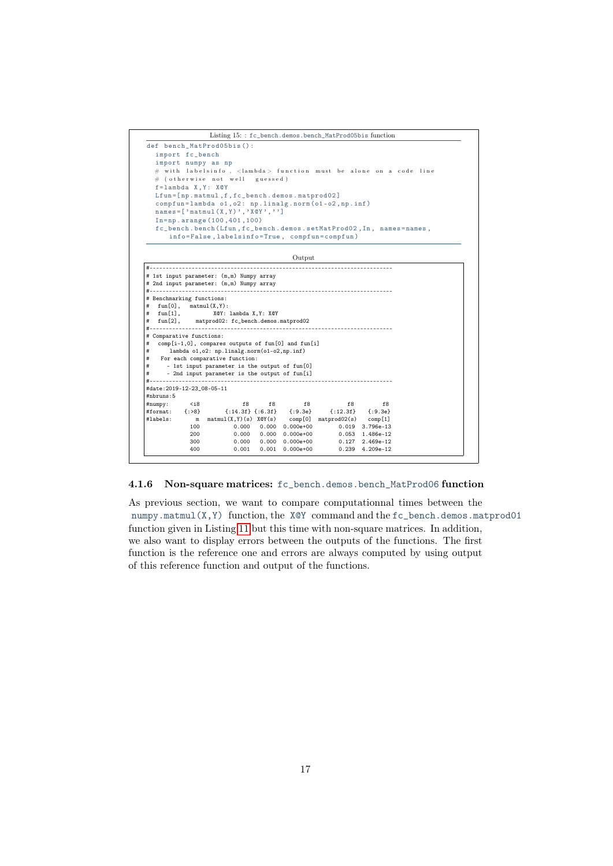<span id="page-16-1"></span>



### <span id="page-16-0"></span>4.1.6 Non-square matrices: fc\_bench.demos.bench\_MatProd06 function

As previous section, we want to compare computationnal times between the numpy.matmul(X,Y) function, the X@Y command and the fc\_bench.demos.matprod01 function given in Listing [11](#page-13-1) but this time with non-square matrices. In addition, we also want to display errors between the outputs of the functions. The first function is the reference one and errors are always computed by using output of this reference function and output of the functions.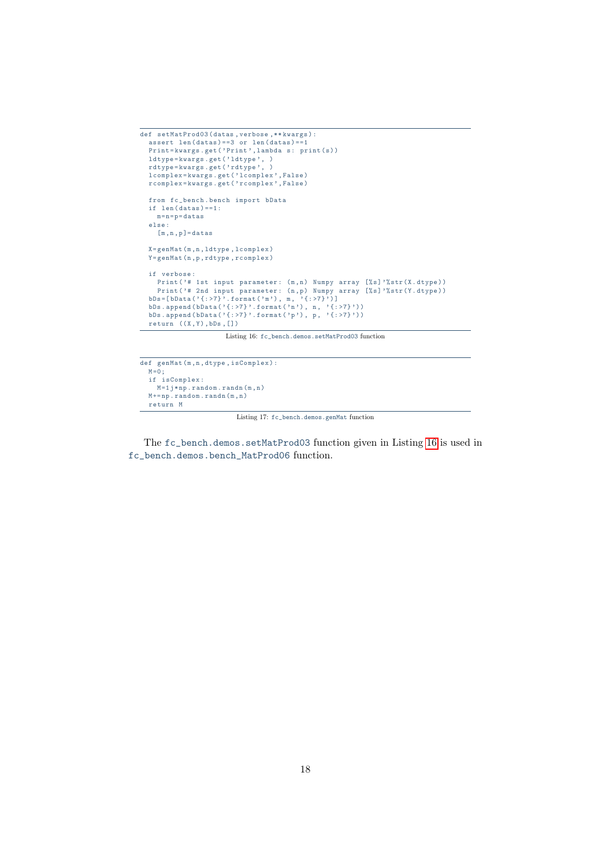```
def setMatProd03 ( datas , verbose ,** kwargs ) :
  assert len(data) = 3 or len(data) = 1Print=kwargs.get ('Print', lambda s: print (s))
  ldtype=kwargs.get('ldtype', )
  rdtype = kwargs . get ( ' rdtype ' , )
  lcomplex = kwargs . get ( ' lcomplex ' , False )
  rcomplex = kwargs . get ( ' rcomplex ' , False )
  from fc_bench . bench import bData
  if len(data) == 1:m = n = p = d \texttt{atas}else :
    [m, n, p] =datas
  X = genMat (m ,n , ldtype , lcomplex )
  Y = genMat (n ,p , rdtype , rcomplex )
  if verbose :
   Print ('# 1st input parameter: (m, n) Numpy array [%s]'%str (X.dtype))
     Print ('# 2nd input parameter: (n, p) Numpy array [%s]'%str (Y.dtype))
  bDs = [bData('{:>7}'.format('m'), m, '{:>7}')]
  bDs. append (bData ( '{: >7} '. format ( 'n '), n, '{: >7} '))
  bDs. append (bData ( '{: >7} '. format ( 'p'), p, '{: >7} '))
  return ((X,Y), bDs, [])
```
Listing 16: fc\_bench.demos.setMatProd03 function

```
def genMat (m ,n , dtype , isComplex ) :
  M = 0;if isComplex :
   M = 1 j * np. random. randn(m, n)M + = np . random . randn (m, n)
  return M
```
Listing 17: fc\_bench.demos.genMat function

The fc\_bench.demos.setMatProd03 function given in Listing [16](#page-17-0) is used in fc\_bench.demos.bench\_MatProd06 function.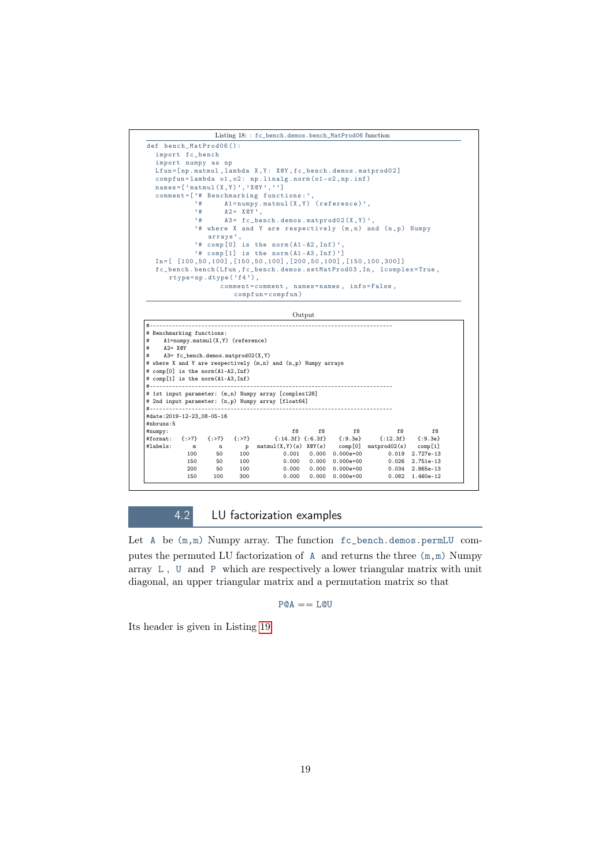

#### Output

|                                   | # Benchmarking functions: |                                                  |     |                                                                      |               |               |                           |                 |
|-----------------------------------|---------------------------|--------------------------------------------------|-----|----------------------------------------------------------------------|---------------|---------------|---------------------------|-----------------|
| #                                 |                           | $A1 = number \, \text{matmul}(X, Y)$ (reference) |     |                                                                      |               |               |                           |                 |
| #<br>$A2 = XQY$                   |                           |                                                  |     |                                                                      |               |               |                           |                 |
| #                                 |                           | A3= fc_bench.demos.matprod02(X,Y)                |     |                                                                      |               |               |                           |                 |
|                                   |                           |                                                  |     | # where X and Y are respectively (m,n) and (n,p) Numpy arrays        |               |               |                           |                 |
| # comp[0] is the norm(A1-A2, Inf) |                           |                                                  |     |                                                                      |               |               |                           |                 |
| # comp[1] is the norm(A1-A3,Inf)  |                           |                                                  |     |                                                                      |               |               |                           |                 |
|                                   |                           |                                                  |     |                                                                      |               |               |                           |                 |
|                                   |                           |                                                  |     | # 1st input parameter: (m,n) Numpy array [complex128]                |               |               |                           |                 |
|                                   |                           |                                                  |     |                                                                      |               |               |                           |                 |
|                                   |                           |                                                  |     |                                                                      |               |               |                           |                 |
|                                   |                           |                                                  |     | # 2nd input parameter: (n,p) Numpy array [float64]                   |               |               |                           |                 |
|                                   |                           |                                                  |     |                                                                      |               |               |                           |                 |
| #date: 2019-12-23_08-05-16        |                           |                                                  |     |                                                                      |               |               |                           |                 |
| #nhruns: 5                        |                           |                                                  |     |                                                                      |               |               |                           |                 |
| # number:                         |                           |                                                  |     | f8                                                                   |               |               | f8 f8 f8 f8               |                 |
|                                   |                           |                                                  |     | #format: {:>7} {:>7} {:>7} {:14.3f} {:6.3f} {:9.3e} {:12.3f} {:9.3e} |               |               |                           |                 |
| #labels:                          |                           |                                                  |     | m n p matmul(X,Y)(s) X@Y(s) comp[0] matprod02(s) comp[1]             |               |               |                           |                 |
|                                   | 100                       | 50                                               |     | 100 000                                                              | $0.001$ 0.000 |               | 0.000e+00 0.019 2.727e-13 |                 |
|                                   | 150                       | 50                                               |     | 100 000<br>0.000                                                     | 0.000         |               | 0.000e+00 0.026           | 2.751e-13       |
|                                   | 200                       | 50                                               | 100 | 0.000                                                                | 0.000         | $0.000e + 00$ |                           | 0.034 2.865e-13 |

## 4.2 LU factorization examples

<span id="page-18-0"></span>Let A be (m,m) Numpy array. The function fc\_bench.demos.permLU computes the permuted LU factorization of A and returns the three (m,m) Numpy array L , U and P which are respectively a lower triangular matrix with unit diagonal, an upper triangular matrix and a permutation matrix so that

 $P@A == L@U$ 

Its header is given in Listing [19.](#page-19-1)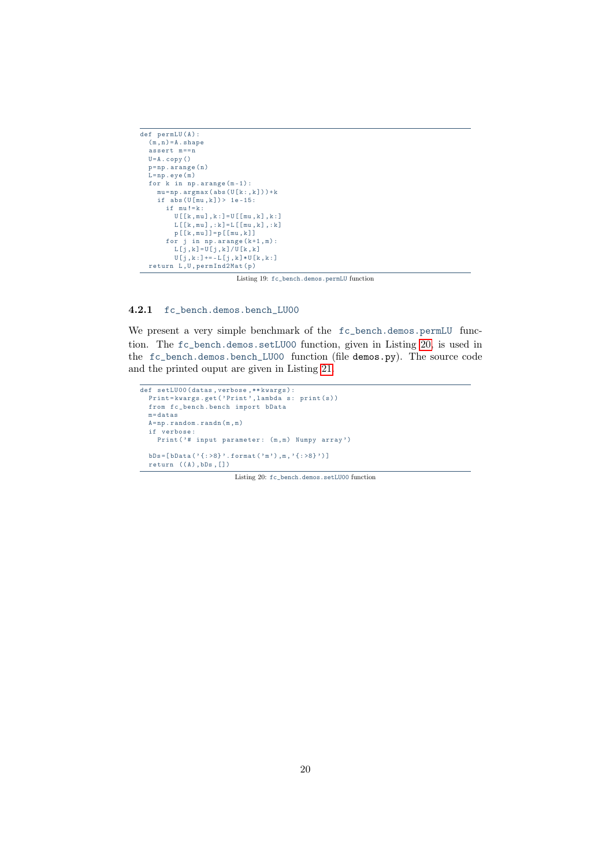```
def permLU(A):
  (m, n) = A. shape
   \frac{1}{\text{assert}} m==n
  U = A \cdot copy()p = np \cdot \text{arg}e(n)L = np \cdot eye(m)for k in np.arange(m-1):
      mu = np \cdot argmax (abs (U[k:, k]) ) + kif abs(U[mu, k]) > 1e-15:
        if mu!=k:U [ [ k , mu ] , k : ] = U [ \left[\!\left[mu\right],k\right] , k : ]
            L[[k, mu], :k] = L[[mu, k], :k]p [[ k , mu ]]= p [[ mu , k ]]
         for j in np \cdot \text{arange}(k+1, m):
            L[j, k] = U[j, k] / U[k, k]U[j, k:] \rightarrow -L[j, k] * U[k, k:]return L, U, permInd2Mat (p)
```
Listing 19: fc\_bench.demos.permLU function

### <span id="page-19-0"></span>4.2.1 fc\_bench.demos.bench\_LU00

We present a very simple benchmark of the fc\_bench.demos.permLU function. The fc\_bench.demos.setLU00 function, given in Listing [20,](#page-19-2) is used in the fc\_bench.demos.bench\_LU00 function (file demos.py). The source code and the printed ouput are given in Listing [21.](#page-20-1)

```
def setLU00 (datas, verbose, ** kwargs) :
  Print=kwargs.get('Print', lambda s: print(s))
  from fc_bench . bench import bData
  m = datas
  \mathtt{A}\mathtt{=np} . \mathtt{random} . \mathtt{randn} (m , m )
  if verbose :
    Print ('# input parameter: (m, m) Numpy array')
  bDs = [ bData ( ' { : >8 } ' . format ( 'm' ) , m , ' { : >8 } ' ) ]return ((A), bDs, []
```
Listing 20: fc\_bench.demos.setLU00 function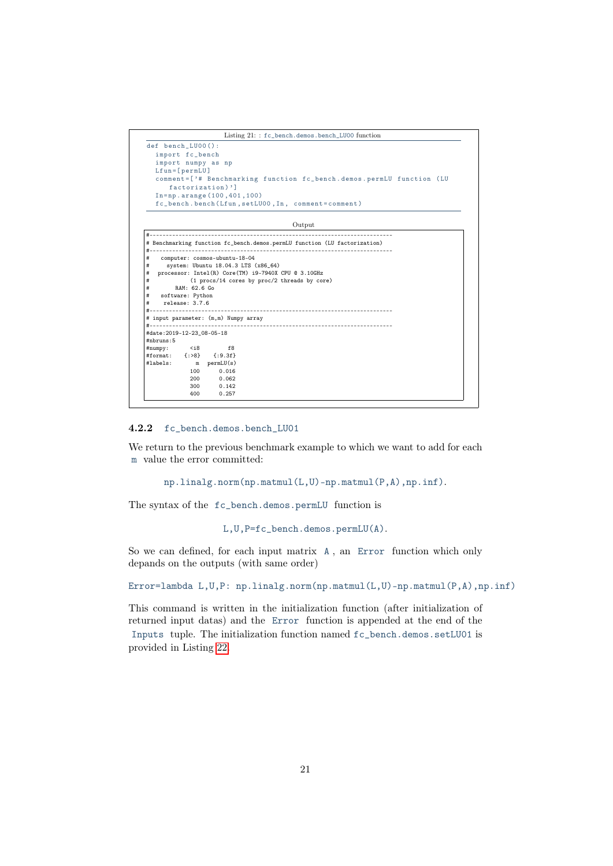```
Listing 21: : fc_bench.demos.bench_LU00 function
def bench_LU00 () :
  import fc_bench
  import numpy as np
Lfun =[ permLU ]
  comment =[ '# Benchmarking function fc_bench . demos . permLU function ( LU
      factorization)']
  In = np . arange (100 ,401 ,100)
  fc_bench . bench ( Lfun , setLU00 , In , comment = comment )
```
Output

|                                                               |                  |                                      | __________________                                                        |
|---------------------------------------------------------------|------------------|--------------------------------------|---------------------------------------------------------------------------|
|                                                               |                  |                                      | # Benchmarking function fc_bench.demos.permLU function (LU factorization) |
| #<br>#                                                        |                  | computer: cosmos-ubuntu-18-04        |                                                                           |
| #                                                             |                  | system: Ubuntu 18.04.3 LTS (x86_64)  |                                                                           |
| #                                                             |                  |                                      | processor: Intel(R) Core(TM) i9-7940X CPU @ 3.10GHz                       |
| #                                                             |                  |                                      | (1 procs/14 cores by proc/2 threads by core)                              |
| #                                                             | RAM: 62.6 Go     |                                      |                                                                           |
| #                                                             | software: Python |                                      |                                                                           |
| #                                                             | release: 3.7.6   |                                      |                                                                           |
|                                                               |                  |                                      |                                                                           |
|                                                               |                  |                                      |                                                                           |
|                                                               |                  | # input parameter: (m,m) Numpy array |                                                                           |
|                                                               |                  |                                      |                                                                           |
| #date: 2019-12-23_08-05-18                                    |                  |                                      |                                                                           |
| #nbruns:5                                                     |                  |                                      |                                                                           |
| $# number:$ <i8 f8<="" td=""><td></td><td></td><td></td></i8> |                  |                                      |                                                                           |
|                                                               |                  | #format: {:>8} {:9.3f}               |                                                                           |
|                                                               |                  | #labels: $m$ permLU(s)               |                                                                           |
|                                                               | 100              | 0.016                                |                                                                           |
|                                                               | 200              | 0.062                                |                                                                           |
|                                                               | 300              | 0.142                                |                                                                           |
|                                                               | 400              | 0.257                                |                                                                           |
|                                                               |                  |                                      |                                                                           |

### <span id="page-20-0"></span>4.2.2 fc\_bench.demos.bench\_LU01

We return to the previous benchmark example to which we want to add for each m value the error committed:

```
np.linalg.norm(np.matmul(L,U)-np.matmul(P,A),np.inf).
```
The syntax of the fc\_bench.demos.permLU function is

L,U,P=fc\_bench.demos.permLU(A).

So we can defined, for each input matrix A , an Error function which only depands on the outputs (with same order)

Error=lambda L, U, P: np.linalg.norm(np.matmul(L, U)-np.matmul(P, A), np.inf)

This command is written in the initialization function (after initialization of returned input datas) and the Error function is appended at the end of the Inputs tuple. The initialization function named fc\_bench.demos.setLU01 is provided in Listing [22.](#page-21-1)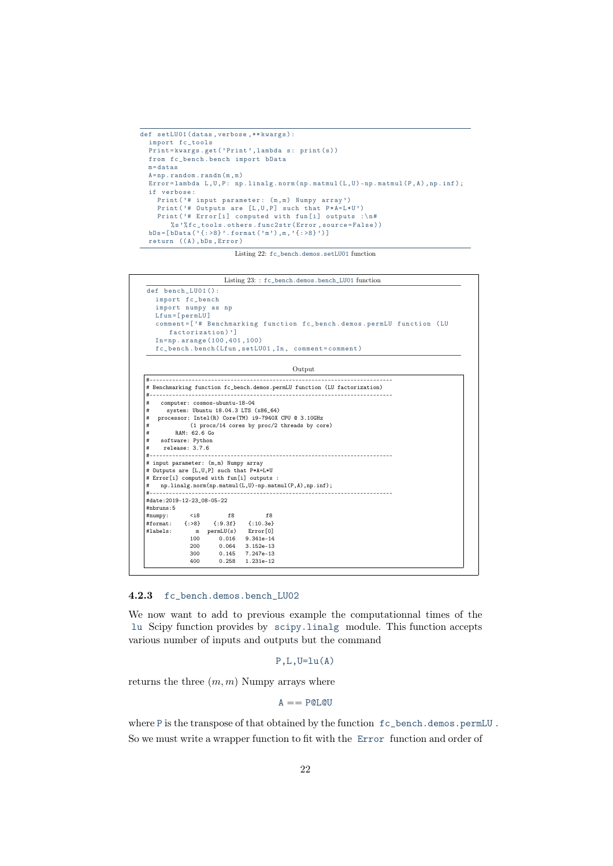```
def setLU01 ( datas , verbose ,** kwargs ) :
  import fc_tools
  Print=kwargs.get('Print', lambda s: print(s))
  from fc_bench . bench import bData
  m =datas
  A = np . random . randn (m , m )
  Error=lambda L,U,P: np.linalg.norm(np.matmul(L,U)-np.matmul(P,A),np.inf);
  if verbose :
     Print ('# input parameter: (m, m) Numpy array')
    Print ( '# Outputs are [L, U, P] such that P*A=L*U')
    Print ('# Error [i] computed with fun [i] outputs :\n#
        % s'% fc_tools.others.func2str (Error, source=False))
  bDs = [ bData('{ : >8 \} ' .format('m'); m, '{ : >8 \} ' ) ]return ((A), bDs, Error)
```
Listing 22: fc\_bench.demos.setLU01 function

```
Listing 23: : fc_bench.demos.bench_LU01 function
def bench_LU01 () :
  import fc_bench
   import numpy as np
Lfun =[ permLU ]
  comment =[ '# Benchmarking function fc_bench . demos . permLU function ( LU
     factorization)']
  In = np . arange (100 ,401 ,100)
  fc_bench . bench ( Lfun , setLU01 , In , comment = comment )
```
Output

| #                                                                                                |                  | computer: cosmos-ubuntu-18-04                      |                                           |                                                       |
|--------------------------------------------------------------------------------------------------|------------------|----------------------------------------------------|-------------------------------------------|-------------------------------------------------------|
| #                                                                                                |                  |                                                    | system: Ubuntu 18.04.3 LTS (x86_64)       |                                                       |
| #                                                                                                |                  |                                                    |                                           | processor: Intel(R) Core(TM) i9-7940X CPU @ 3.10GHz   |
| #                                                                                                |                  |                                                    |                                           | (1 procs/14 cores by proc/2 threads by core)          |
| #                                                                                                | RAM: 62.6 Go     |                                                    |                                           |                                                       |
| #                                                                                                | software: Python |                                                    |                                           |                                                       |
| #<br>$# -$                                                                                       | release: 3.7.6   |                                                    |                                           | -----------------------------------                   |
|                                                                                                  |                  | # Outputs are [L,U,P] such that P*A=L*U            | # Error[i] computed with fun[i] outputs : | np.linalg.norm(np.matmul(L,U)-np.matmul(P,A),np.inf); |
|                                                                                                  |                  |                                                    |                                           |                                                       |
|                                                                                                  |                  |                                                    |                                           |                                                       |
|                                                                                                  |                  | #numpy: <i8 f8<="" td=""><td>f8</td><td></td></i8> | f8                                        |                                                       |
|                                                                                                  |                  | #format: {:>8} {:9.3f} {:10.3e}                    |                                           |                                                       |
|                                                                                                  | m                | permLU(s) Error[0]                                 |                                           |                                                       |
|                                                                                                  | 100              |                                                    | $0.016$ $9.341e-14$                       |                                                       |
| # input parameter: (m,m) Numpy array<br>#<br>#date: 2019-12-23 08-05-22<br>#nbruns:5<br>#labels: |                  | 200 0.064 3.152e-13<br>300 0.145 7.247e-13         |                                           |                                                       |

### <span id="page-21-0"></span>4.2.3 fc\_bench.demos.bench\_LU02

We now want to add to previous example the computationnal times of the lu Scipy function provides by scipy.linalg module. This function accepts various number of inputs and outputs but the command

```
P.L.U=lu(A)
```
returns the three  $(m, m)$  Numpy arrays where

$$
A = P@L@U
$$

where P is the transpose of that obtained by the function fc\_bench.demos.permLU . So we must write a wrapper function to fit with the Error function and order of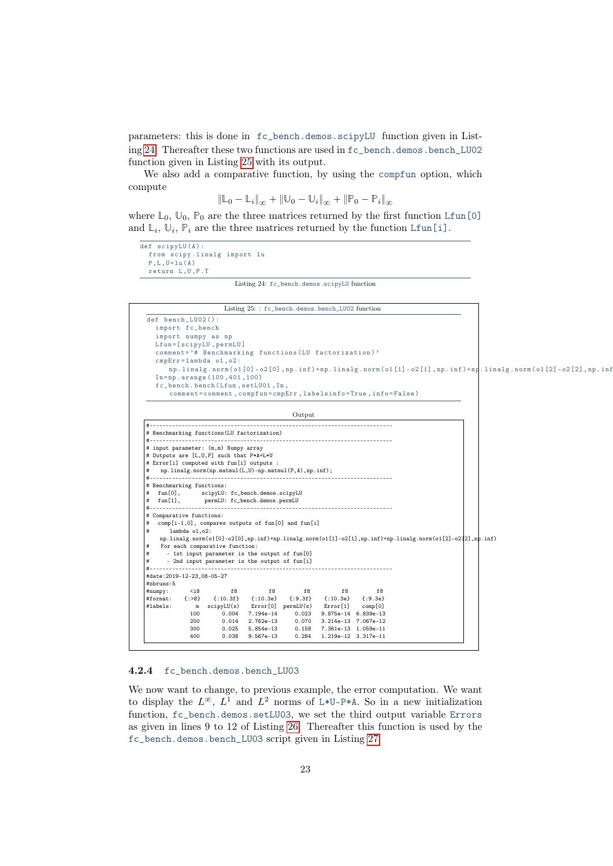parameters: this is done in fc\_bench.demos.scipyLU function given in Listing [24.](#page-22-1) Thereafter these two functions are used in fc\_bench.demos.bench\_LU02 function given in Listing [25](#page-22-2) with its output.

We also add a comparative function, by using the compfun option, which compute

$$
\|\mathbb{L}_0 - \mathbb{L}_i\|_{\infty} + \|\mathbb{U}_0 - \mathbb{U}_i\|_{\infty} + \|\mathbb{P}_0 - \mathbb{P}_i\|_{\infty}
$$

where  $\mathbb{L}_0$ ,  $\mathbb{U}_0$ ,  $\mathbb{P}_0$  are the three matrices returned by the first function Lfun[0] and  $\mathbb{L}_i$ ,  $\mathbb{U}_i$ ,  $\mathbb{P}_i$  are the three matrices returned by the function Lfun[i].

```
\overline{\det \; \text{scipvLU}(\Lambda) :}from scipy . linalg import lu
   P, L, U = lu(A)return L ,U , P . T
```
Listing 24: fc\_bench.demos.scipyLU function

<span id="page-22-2"></span>

|                                                                                                                                                    |                                                               | Listing 25:: fc_bench.demos.bench_LU02 function                |        |                           |                     |  |                                                                                                         |
|----------------------------------------------------------------------------------------------------------------------------------------------------|---------------------------------------------------------------|----------------------------------------------------------------|--------|---------------------------|---------------------|--|---------------------------------------------------------------------------------------------------------|
| def bench_LU02():                                                                                                                                  |                                                               |                                                                |        |                           |                     |  |                                                                                                         |
| import fc_bench                                                                                                                                    |                                                               |                                                                |        |                           |                     |  |                                                                                                         |
| import numpy as np                                                                                                                                 |                                                               |                                                                |        |                           |                     |  |                                                                                                         |
| Lfun=[scipyLU, permLU]                                                                                                                             |                                                               |                                                                |        |                           |                     |  |                                                                                                         |
| comment='# Benchmarking functions (LU factorization)'                                                                                              |                                                               |                                                                |        |                           |                     |  |                                                                                                         |
| cmpErr=lambda o1, o2:                                                                                                                              |                                                               |                                                                |        |                           |                     |  |                                                                                                         |
|                                                                                                                                                    |                                                               |                                                                |        |                           |                     |  | np.linalg.norm(o1[0]-o2[0],np.inf)+np.linalg.norm(o1[1]-o2[1],np.inf)+np.linalg.norm(o1[2]-o2[2],np.inf |
| In=np.arange(100,401,100)                                                                                                                          |                                                               |                                                                |        |                           |                     |  |                                                                                                         |
| fc_bench.bench(Lfun,setLU01, In,                                                                                                                   |                                                               |                                                                |        |                           |                     |  |                                                                                                         |
|                                                                                                                                                    | comment=comment, compfun=cmpErr, labelsinfo=True, info=False) |                                                                |        |                           |                     |  |                                                                                                         |
|                                                                                                                                                    |                                                               |                                                                | Output |                           |                     |  |                                                                                                         |
|                                                                                                                                                    |                                                               |                                                                |        |                           |                     |  |                                                                                                         |
| # Benchmarking functions (LU factorization)                                                                                                        |                                                               |                                                                |        |                           |                     |  |                                                                                                         |
| # Outputs are [L,U,P] such that P*A=L*U<br># Error[i] computed with fun[i] outputs :<br>np.linalg.norm(np.matmul(L,U)-np.matmul(P,A),np.inf);<br># |                                                               |                                                                |        |                           |                     |  |                                                                                                         |
| # Benchmarking functions:<br>fun[0], scipyLU: fc_bench.demos.scipyLU<br>#<br>fun[1], permLU: fc_bench.demos.permLU<br>#                            |                                                               |                                                                |        |                           |                     |  |                                                                                                         |
|                                                                                                                                                    |                                                               |                                                                |        |                           |                     |  |                                                                                                         |
|                                                                                                                                                    |                                                               |                                                                |        |                           |                     |  |                                                                                                         |
| # Comparative functions:<br>comp[i-1,0], compares outputs of fun[0] and fun[i]<br>#                                                                |                                                               |                                                                |        |                           |                     |  |                                                                                                         |
| #<br>lambda o1, o2:                                                                                                                                |                                                               |                                                                |        |                           |                     |  |                                                                                                         |
| np.linalg.norm(o1[0]-o2[0],np.inf)+np.linalg.norm(o1[1]-o2[1],np.inf)+np.linalg.norm(o1[2]-o2[2],np.inf)                                           |                                                               |                                                                |        |                           |                     |  |                                                                                                         |
| For each comparative function:<br>#                                                                                                                |                                                               |                                                                |        |                           |                     |  |                                                                                                         |
| #                                                                                                                                                  | - 1st input parameter is the output of fun[0]                 |                                                                |        |                           |                     |  |                                                                                                         |
| #                                                                                                                                                  | - 2nd input parameter is the output of fun[i]                 |                                                                |        |                           |                     |  |                                                                                                         |
| #date: 2019-12-23_08-05-27                                                                                                                         |                                                               |                                                                |        |                           |                     |  |                                                                                                         |
| #nbruns:5                                                                                                                                          |                                                               |                                                                |        |                           |                     |  |                                                                                                         |
| #numpy:<br>/ <i8< td=""><td></td><td>f8<br/>f8</td><td></td><td>f8</td><td>f8<br/>f8</td><td></td><td></td></i8<>                                  |                                                               | f8<br>f8                                                       |        | f8                        | f8<br>f8            |  |                                                                                                         |
| ${:}8$                                                                                                                                             |                                                               | $\{:10.3f\}$ $\{:10.3e\}$ $\{:9.3f\}$ $\{:10.3e\}$ $\{:9.3e\}$ |        |                           |                     |  |                                                                                                         |
| #format:<br>#labels:                                                                                                                               | m scipyLU(s) Error[0] permLU(s)                               |                                                                |        | Error[1]                  | comp[0]             |  |                                                                                                         |
| 100                                                                                                                                                | 0.004                                                         | 7.194e-14                                                      |        | 0.023 9.875e-14 6.839e-13 |                     |  |                                                                                                         |
| 200<br>300                                                                                                                                         | 0.014<br>0.025                                                | 2.762e-13<br>5.854e-13                                         | 0.070  | 0.158 7.361e-13 1.059e-11 | 3.214e-13 7.067e-12 |  |                                                                                                         |

## <span id="page-22-0"></span>4.2.4 fc\_bench.demos.bench\_LU03

We now want to change, to previous example, the error computation. We want to display the  $L^{\infty}$ ,  $L^{1}$  and  $L^{2}$  norms of L\*U-P\*A. So in a new initialization function, fc\_bench.demos.setLU03, we set the third output variable Errors as given in lines 9 to 12 of Listing [26.](#page-23-1) Thereafter this function is used by the fc\_bench.demos.bench\_LU03 script given in Listing [27.](#page-23-2)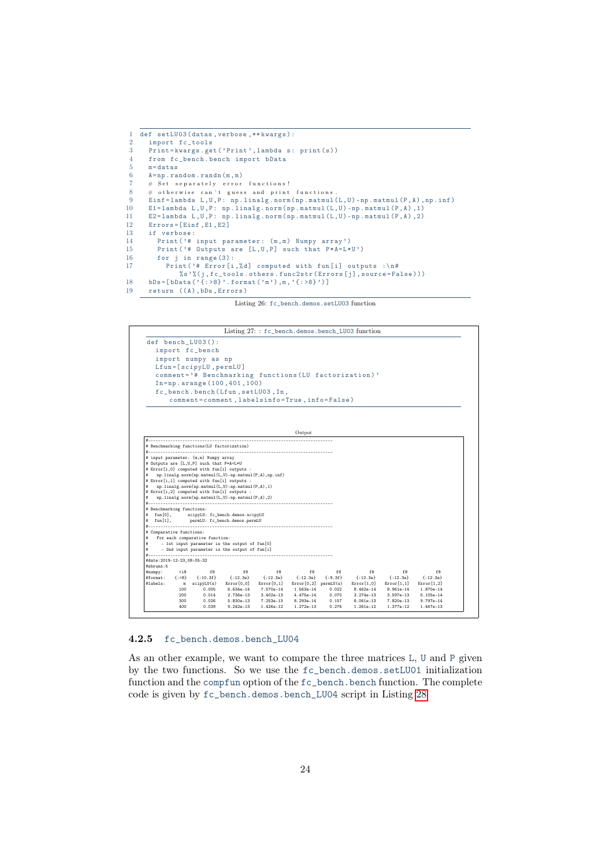```
1 def setLU03 (datas, verbose, ** kwargs):<br>2 import fc tools
 2 import fc_tools<br>3 Print=kwargs.ge
 3 Print=kwargs.get('Print', lambda s: print(s))<br>4 from fc bench.bench import bData
        from fc_bench.bench import bData
 5 m=datas<br>6 A = nn ra
 6 A = np.random.random(m, m)<br>
\begin{array}{ccc} 7 & \text{# Set separately error} \end{array}# Set separately error functions!
  % # otherwise can't guess and print functions.<br>9 Einf=lambda L,U,P: np.linalg.norm(np.matmul(L,U)-np.matmul(P,A),np.inf)
10 E1 = lambda L,U,P: np.1inalg.norm (np.matmul (L,U) -np.matmul (P,A),1)<br>11 E2 = lambda L,U,P: np.1inalg.norm (np.matmul (L,U) -np.matmul (P,A),2)
11 E2=lambda L, U, P: np. linalg.norm (np. matmul (L, U) - np. matmul (P, A), 2)<br>12 Errors=[Finf E1 E2]
12 Errors=[Einf, E1, E2]<br>13 if verbose:
13 if verbose:<br>14 Print(?#
14 Print ('# input parameter: (m, m) Numpy array')<br>15 Print ('# Outputs are [L. II P] such that PxA=LA15 Print ('# Outputs are [L, U, P] such that P*A=L*U')<br>16 for i in range (3):
16 for j in range (3):<br>17 Print ('# Error [i
              Print ('# Error [i, %d] computed with fun [i] outputs :\n#
                    % s '%(j, fc_tools.others.func2str (Errors [j], source=False)))
18 bDs = [bData(' {: >8}'. format ('m'), m, '{: >8}')]<br>19 return ((A), bDs, Errors)
      return ((A), bDs, Errors)
```
Listing 26: fc\_bench.demos.setLU03 function

<span id="page-23-2"></span>

### <span id="page-23-0"></span>4.2.5 fc\_bench.demos.bench\_LU04

As an other example, we want to compare the three matrices L, U and P given by the two functions. So we use the fc\_bench.demos.setLU01 initialization function and the compfun option of the fc\_bench.bench function. The complete code is given by fc\_bench.demos.bench\_LU04 script in Listing [28](#page-24-2)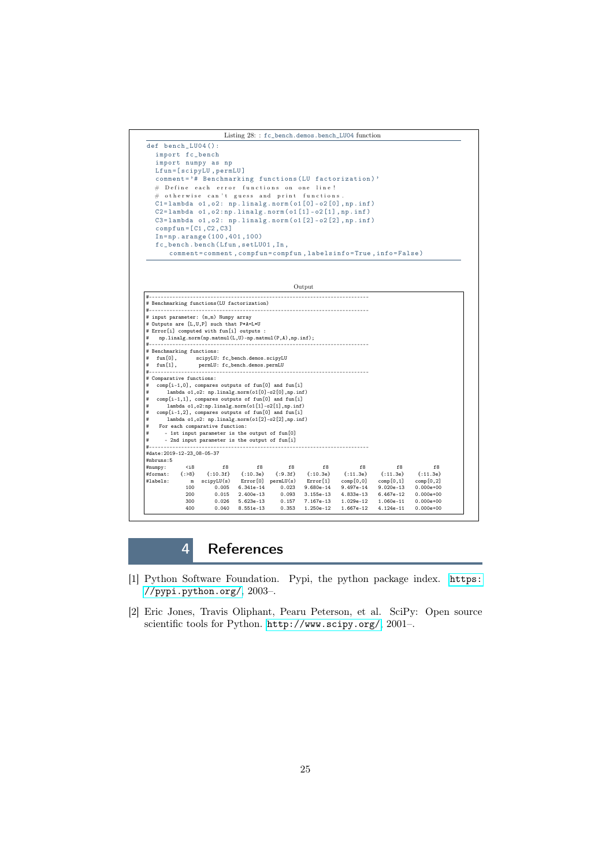<span id="page-24-2"></span>

## 4 References

- <span id="page-24-1"></span>[1] Python Software Foundation. Pypi, the python package index. [https:](https://pypi.python.org/) [//pypi.python.org/](https://pypi.python.org/), 2003–.
- <span id="page-24-0"></span>[2] Eric Jones, Travis Oliphant, Pearu Peterson, et al. SciPy: Open source scientific tools for Python. <http://www.scipy.org/>, 2001–.